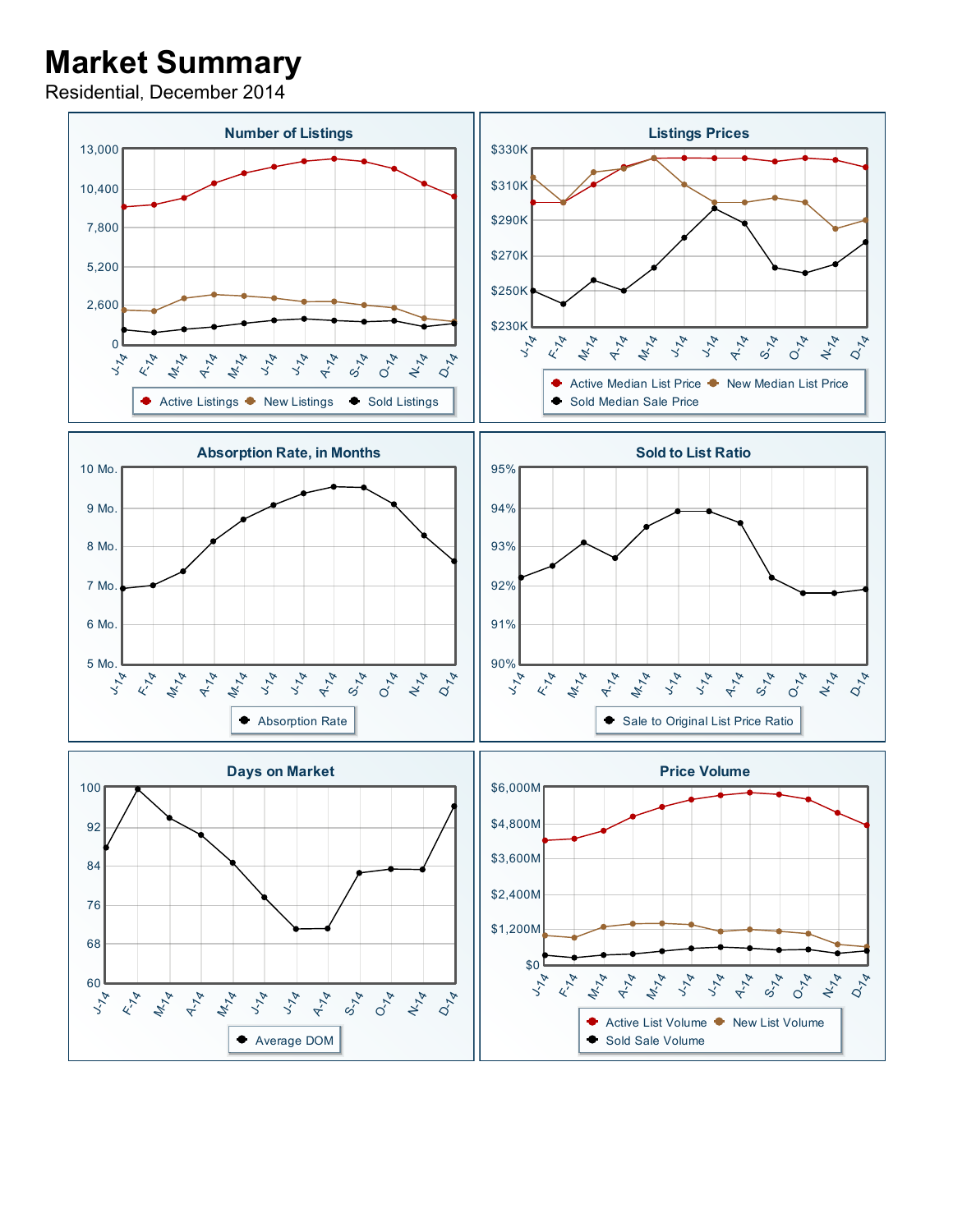## Market Summary

Residential, December 2014